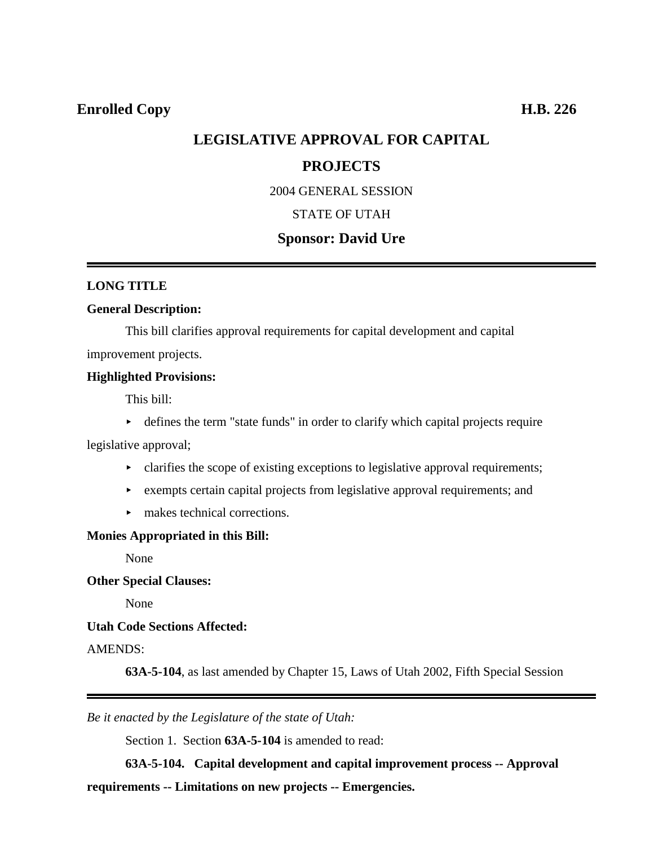## **Enrolled Copy H.B. 226**

# **LEGISLATIVE APPROVAL FOR CAPITAL**

## **PROJECTS**

2004 GENERAL SESSION

## STATE OF UTAH

## **Sponsor: David Ure**

#### **LONG TITLE**

#### **General Description:**

This bill clarifies approval requirements for capital development and capital improvement projects.

### **Highlighted Provisions:**

This bill:

 $\blacktriangleright$  defines the term "state funds" in order to clarify which capital projects require

legislative approval;

- $\triangleright$  clarifies the scope of existing exceptions to legislative approval requirements;
- $\triangleright$  exempts certain capital projects from legislative approval requirements; and
- $\blacktriangleright$  makes technical corrections.

#### **Monies Appropriated in this Bill:**

None

**Other Special Clauses:**

None

#### **Utah Code Sections Affected:**

### AMENDS:

**63A-5-104**, as last amended by Chapter 15, Laws of Utah 2002, Fifth Special Session

*Be it enacted by the Legislature of the state of Utah:*

Section 1. Section **63A-5-104** is amended to read:

**63A-5-104. Capital development and capital improvement process -- Approval**

**requirements -- Limitations on new projects -- Emergencies.**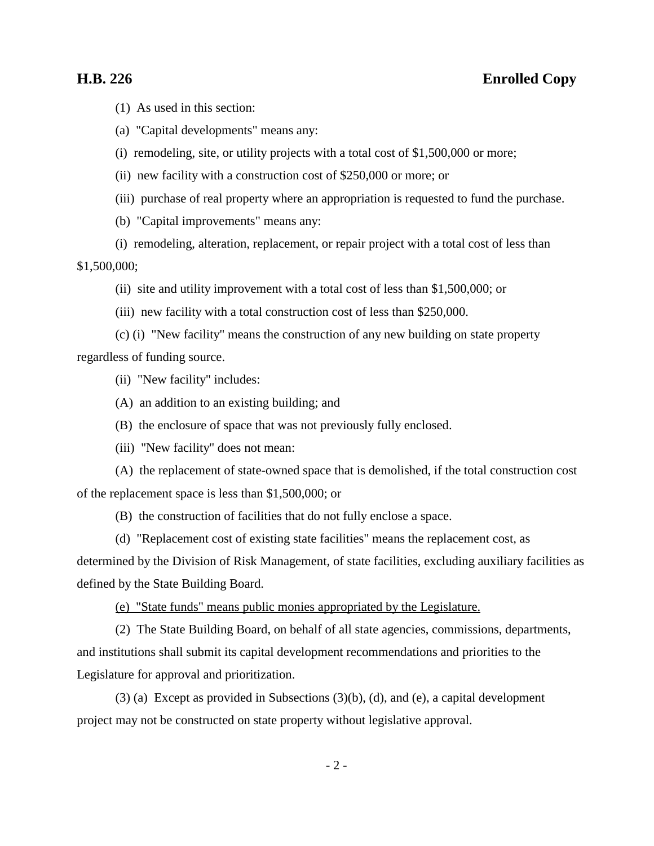(1) As used in this section:

(a) "Capital developments" means any:

(i) remodeling, site, or utility projects with a total cost of \$1,500,000 or more;

(ii) new facility with a construction cost of \$250,000 or more; or

(iii) purchase of real property where an appropriation is requested to fund the purchase.

(b) "Capital improvements" means any:

(i) remodeling, alteration, replacement, or repair project with a total cost of less than

\$1,500,000;

(ii) site and utility improvement with a total cost of less than \$1,500,000; or

(iii) new facility with a total construction cost of less than \$250,000.

(c) (i) "New facility" means the construction of any new building on state property regardless of funding source.

(ii) "New facility" includes:

(A) an addition to an existing building; and

(B) the enclosure of space that was not previously fully enclosed.

(iii) "New facility" does not mean:

(A) the replacement of state-owned space that is demolished, if the total construction cost of the replacement space is less than \$1,500,000; or

(B) the construction of facilities that do not fully enclose a space.

(d) "Replacement cost of existing state facilities" means the replacement cost, as

determined by the Division of Risk Management, of state facilities, excluding auxiliary facilities as defined by the State Building Board.

(e) "State funds" means public monies appropriated by the Legislature.

(2) The State Building Board, on behalf of all state agencies, commissions, departments, and institutions shall submit its capital development recommendations and priorities to the Legislature for approval and prioritization.

(3) (a) Except as provided in Subsections (3)(b), (d), and (e), a capital development project may not be constructed on state property without legislative approval.

 $-2-$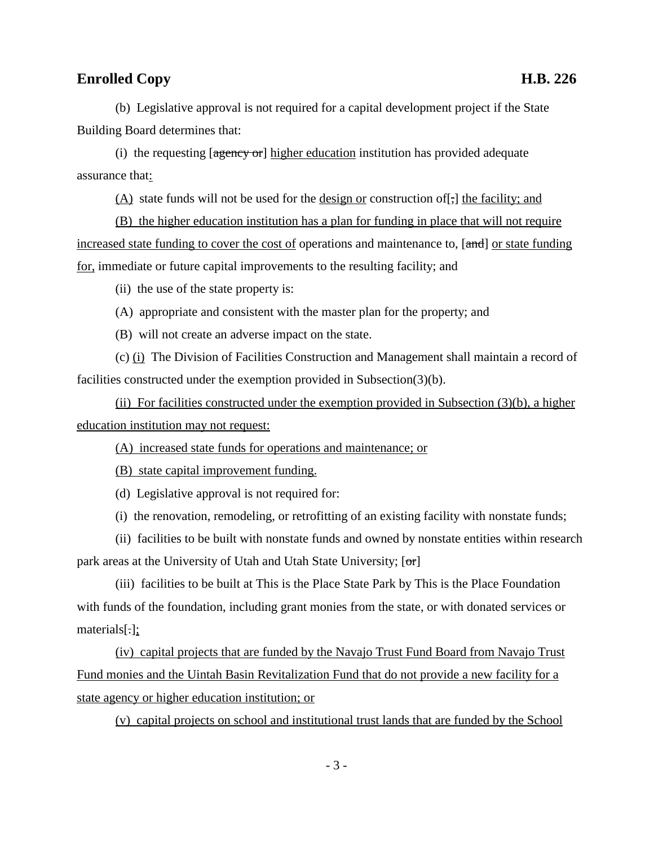# **Enrolled Copy H.B. 226**

(b) Legislative approval is not required for a capital development project if the State Building Board determines that:

(i) the requesting  $[*agency* or] *higher* education institution has provided adequate$ assurance that:

(A) state funds will not be used for the design or construction of[,] the facility; and

(B) the higher education institution has a plan for funding in place that will not require increased state funding to cover the cost of operations and maintenance to,  $[\text{and}]$  or state funding for, immediate or future capital improvements to the resulting facility; and

(ii) the use of the state property is:

(A) appropriate and consistent with the master plan for the property; and

(B) will not create an adverse impact on the state.

(c) (i) The Division of Facilities Construction and Management shall maintain a record of facilities constructed under the exemption provided in Subsection(3)(b).

(ii) For facilities constructed under the exemption provided in Subsection (3)(b), a higher education institution may not request:

(A) increased state funds for operations and maintenance; or

(B) state capital improvement funding.

(d) Legislative approval is not required for:

(i) the renovation, remodeling, or retrofitting of an existing facility with nonstate funds;

(ii) facilities to be built with nonstate funds and owned by nonstate entities within research park areas at the University of Utah and Utah State University;  $[\sigma r]$ 

(iii) facilities to be built at This is the Place State Park by This is the Place Foundation with funds of the foundation, including grant monies from the state, or with donated services or materials[.];

(iv) capital projects that are funded by the Navajo Trust Fund Board from Navajo Trust Fund monies and the Uintah Basin Revitalization Fund that do not provide a new facility for a state agency or higher education institution; or

(v) capital projects on school and institutional trust lands that are funded by the School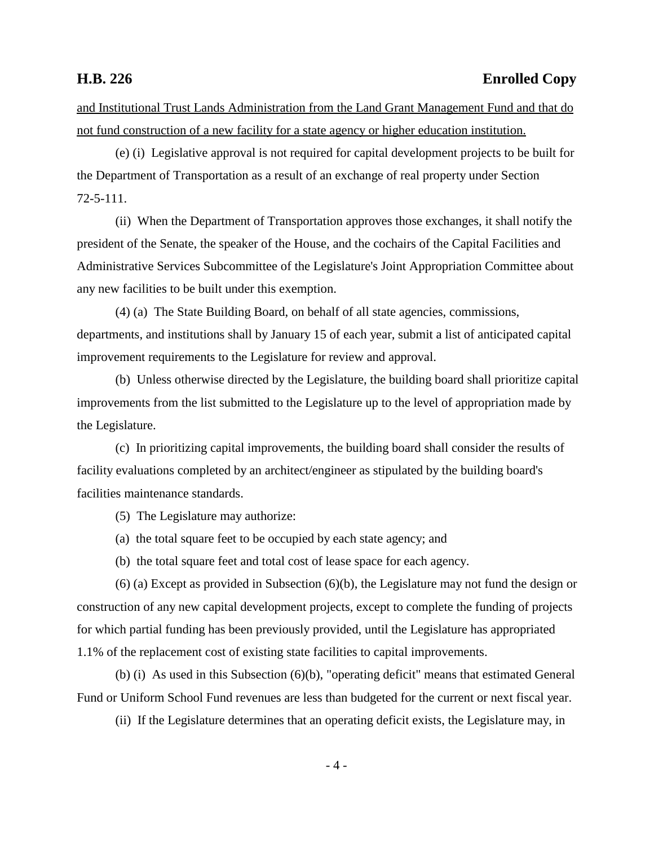# **H.B. 226 Enrolled Copy**

and Institutional Trust Lands Administration from the Land Grant Management Fund and that do not fund construction of a new facility for a state agency or higher education institution.

(e) (i) Legislative approval is not required for capital development projects to be built for the Department of Transportation as a result of an exchange of real property under Section 72-5-111.

(ii) When the Department of Transportation approves those exchanges, it shall notify the president of the Senate, the speaker of the House, and the cochairs of the Capital Facilities and Administrative Services Subcommittee of the Legislature's Joint Appropriation Committee about any new facilities to be built under this exemption.

(4) (a) The State Building Board, on behalf of all state agencies, commissions, departments, and institutions shall by January 15 of each year, submit a list of anticipated capital improvement requirements to the Legislature for review and approval.

(b) Unless otherwise directed by the Legislature, the building board shall prioritize capital improvements from the list submitted to the Legislature up to the level of appropriation made by the Legislature.

(c) In prioritizing capital improvements, the building board shall consider the results of facility evaluations completed by an architect/engineer as stipulated by the building board's facilities maintenance standards.

(5) The Legislature may authorize:

- (a) the total square feet to be occupied by each state agency; and
- (b) the total square feet and total cost of lease space for each agency.

(6) (a) Except as provided in Subsection (6)(b), the Legislature may not fund the design or construction of any new capital development projects, except to complete the funding of projects for which partial funding has been previously provided, until the Legislature has appropriated 1.1% of the replacement cost of existing state facilities to capital improvements.

(b) (i) As used in this Subsection (6)(b), "operating deficit" means that estimated General Fund or Uniform School Fund revenues are less than budgeted for the current or next fiscal year.

(ii) If the Legislature determines that an operating deficit exists, the Legislature may, in